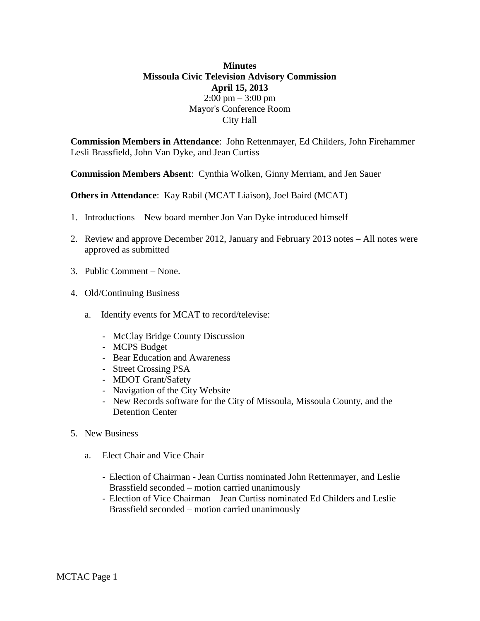## **Minutes Missoula Civic Television Advisory Commission April 15, 2013**  $2:00 \text{ pm} - 3:00 \text{ pm}$ Mayor's Conference Room City Hall

**Commission Members in Attendance**: John Rettenmayer, Ed Childers, John Firehammer Lesli Brassfield, John Van Dyke, and Jean Curtiss

**Commission Members Absent**: Cynthia Wolken, Ginny Merriam, and Jen Sauer

**Others in Attendance**: Kay Rabil (MCAT Liaison), Joel Baird (MCAT)

- 1. Introductions New board member Jon Van Dyke introduced himself
- 2. Review and approve December 2012, January and February 2013 notes All notes were approved as submitted
- 3. Public Comment None.
- 4. Old/Continuing Business
	- a. Identify events for MCAT to record/televise:
		- McClay Bridge County Discussion
		- MCPS Budget
		- Bear Education and Awareness
		- Street Crossing PSA
		- MDOT Grant/Safety
		- Navigation of the City Website
		- New Records software for the City of Missoula, Missoula County, and the Detention Center
- 5. New Business
	- a. Elect Chair and Vice Chair
		- Election of Chairman Jean Curtiss nominated John Rettenmayer, and Leslie Brassfield seconded – motion carried unanimously
		- Election of Vice Chairman Jean Curtiss nominated Ed Childers and Leslie Brassfield seconded – motion carried unanimously